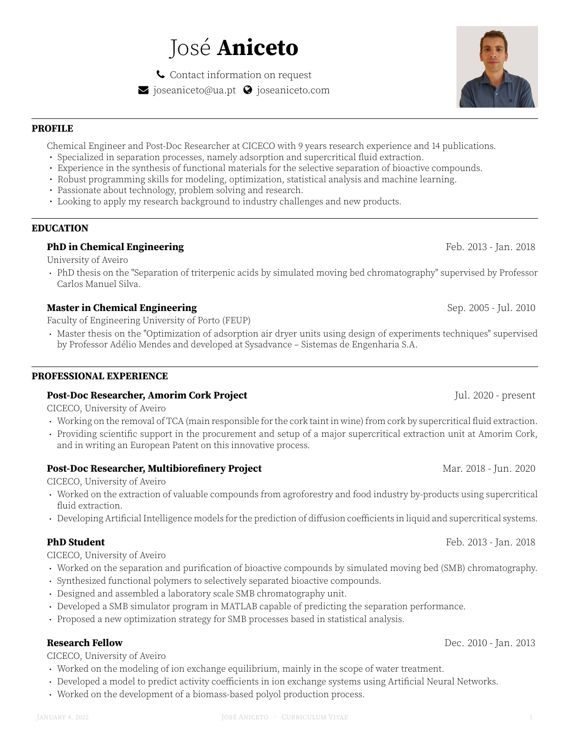# José **Aniceto**

Ó Contact information on request  $\blacktriangleright$  joseaniceto@ua.pt  $\blacklozenge$  joseaniceto.com

# **PROFILE**

Chemical Engineer and Post-Doc Researcher at CICECO with 9 years research experience and 14 publications.

- Specialized in separation processes, namely adsorption and supercritical fluid extraction.
- Experience in the synthesis of functional materials for the selective separation of bioactive compounds.
- Robust programming skills for modeling, optimization, statistical analysis and machine learning.
- Passionate about technology, problem solving and research.
- Looking to apply my research background to industry challenges and new products.

# **EDUCATION**

# **PhD in Chemical Engineering** Feb. 2013 - Jan. 2018

University of Aveiro

· PhD thesis on the "Separation of triterpenic acids by simulated moving bed chromatography" supervised by Professor Carlos Manuel Silva.

# **Master in Chemical Engineering** Sep. 2005 - Jul. 2010

Faculty of Engineering University of Porto (FEUP)

· Master thesis on the "Optimization of adsorption air dryer units using design of experiments techniques" supervised by Professor Adélio Mendes and developed at Sysadvance – Sistemas de Engenharia S.A.

### **PROFESSIONAL EXPERIENCE**

### **Post-Doc Researcher, Amorim Cork Project** Jul. 2020 - present

CICECO, University of Aveiro

- · Working on the removal of TCA (main responsible for the cork taint in wine) from cork by supercritical fluid extraction.
- · Providing scientific support in the procurement and setup of a major supercritical extraction unit at Amorim Cork, and in writing an European Patent on this innovative process.

# **Post-Doc Researcher, Multibiorefinery Project** Marting the Mar. 2018 - Jun. 2020

CICECO, University of Aveiro

- · Worked on the extraction of valuable compounds from agroforestry and food industry by-products using supercritical fluid extraction.
- · Developing Artificial Intelligence models for the prediction of diffusion coefficients in liquid and supercritical systems.

### **PhD Student** Feb. 2013 - Jan. 2018

CICECO, University of Aveiro

- · Worked on the separation and purification of bioactive compounds by simulated moving bed (SMB) chromatography.
- · Synthesized functional polymers to selectively separated bioactive compounds.
- · Designed and assembled a laboratory scale SMB chromatography unit.
- · Developed a SMB simulator program in MATLAB capable of predicting the separation performance.
- · Proposed a new optimization strategy for SMB processes based in statistical analysis.

CICECO, University of Aveiro

- · Worked on the modeling of ion exchange equilibrium, mainly in the scope of water treatment.
- · Developed a model to predict activity coefficients in ion exchange systems using Artificial Neural Networks.
- · Worked on the development of a biomass-based polyol production process.

# **Research Fellow** Dec. 2010 - Jan. 2013

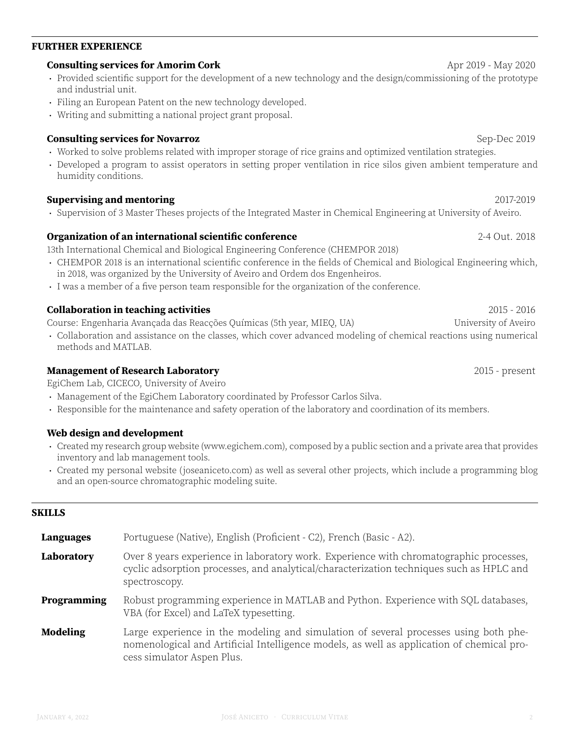# **FURTHER EXPERIENCE**

# **Consulting services for Amorim Cork** Apr 2019 - May 2020

- · Provided scientific support for the development of a new technology and the design/commissioning of the prototype and industrial unit.
- · Filing an European Patent on the new technology developed.
- · Writing and submitting a national project grant proposal.

# **Consulting services for Novarroz Sep-Dec 2019** Sep-Dec 2019

- · Worked to solve problems related with improper storage of rice grains and optimized ventilation strategies.
- · Developed a program to assist operators in setting proper ventilation in rice silos given ambient temperature and humidity conditions.

# **Supervising and mentoring** 2017-2019

· Supervision of 3 Master Theses projects of the Integrated Master in Chemical Engineering at University of Aveiro.

# **Organization of an international scientific conference** 2-4 Out. 2018

13th International Chemical and Biological Engineering Conference (CHEMPOR 2018)

- · CHEMPOR 2018 is an international scientific conference in the fields of Chemical and Biological Engineering which, in 2018, was organized by the University of Aveiro and Ordem dos Engenheiros.
- · I was a member of a five person team responsible for the organization of the conference.

# **Collaboration in teaching activities** 2015 - 2016

Course: Engenharia Avançada das Reacções Químicas (5th year, MIEQ, UA) University of Aveiro

· Collaboration and assistance on the classes, which cover advanced modeling of chemical reactions using numerical methods and MATLAB.

# **Management of Research Laboratory** 2015 - present

EgiChem Lab, CICECO, University of Aveiro

- · Management of the EgiChem Laboratory coordinated by Professor Carlos Silva.
- · Responsible for the maintenance and safety operation of the laboratory and coordination of its members.

# **Web design and development**

- · Created my research group website (www.egichem.com), composed by a public section and a private area that provides inventory and lab management tools.
- · Created my personal website (joseaniceto.com) as well as several other projects, which include a programming blog and an open-source chromatographic modeling suite.

# **SKILLS**

| Languages       | Portuguese (Native), English (Proficient - C2), French (Basic - A2).                                                                                                                                            |
|-----------------|-----------------------------------------------------------------------------------------------------------------------------------------------------------------------------------------------------------------|
| Laboratory      | Over 8 years experience in laboratory work. Experience with chromatographic processes,<br>cyclic adsorption processes, and analytical/characterization techniques such as HPLC and<br>spectroscopy.             |
| Programming     | Robust programming experience in MATLAB and Python. Experience with SQL databases,<br>VBA (for Excel) and LaTeX typesetting.                                                                                    |
| <b>Modeling</b> | Large experience in the modeling and simulation of several processes using both phe-<br>nomenological and Artificial Intelligence models, as well as application of chemical pro-<br>cess simulator Aspen Plus. |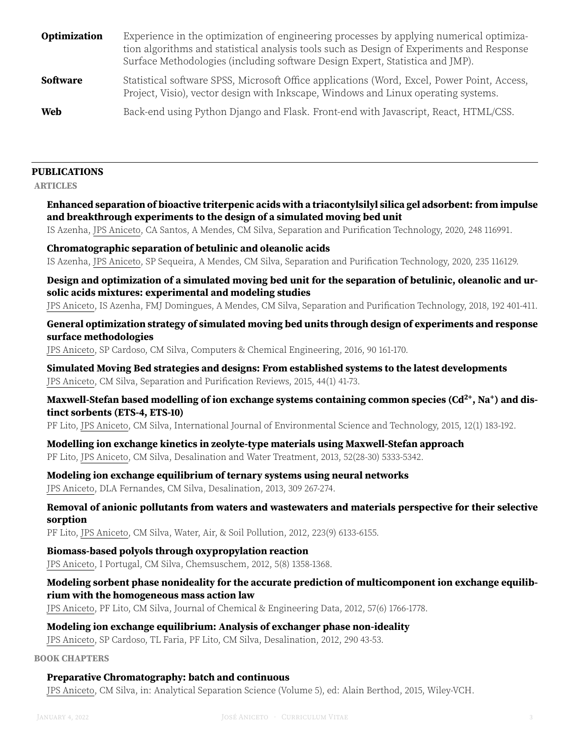| Optimization    | Experience in the optimization of engineering processes by applying numerical optimiza-<br>tion algorithms and statistical analysis tools such as Design of Experiments and Response<br>Surface Methodologies (including software Design Expert, Statistica and JMP). |
|-----------------|-----------------------------------------------------------------------------------------------------------------------------------------------------------------------------------------------------------------------------------------------------------------------|
| <b>Software</b> | Statistical software SPSS, Microsoft Office applications (Word, Excel, Power Point, Access,<br>Project, Visio), vector design with Inkscape, Windows and Linux operating systems.                                                                                     |
| Web             | Back-end using Python Django and Flask. Front-end with Javascript, React, HTML/CSS.                                                                                                                                                                                   |

#### **PUBLICATIONS**

**ARTICLES**

**Enhanced separation of bioactive triterpenic acids with a triacontylsilyl silica gel adsorbent: from impulse and breakthrough experiments to the design of a simulated moving bed unit**

IS Azenha, JPS Aniceto, CA Santos, A Mendes, CM Silva, Separation and Purification Technology, 2020, 248 116991.

#### **Chromatographic separation of betulinic and oleanolic acids** IS Azenha, JPS Aniceto, SP Sequeira, A Mendes, CM Silva, Separation and Purification Technology, 2020, 235 116129.

**Design and optimization of a simulated moving bed unit for the separation of betulinic, oleanolic and ursolic acids mixtures: experimental and modeling studies**

JPS Aniceto, IS Azenha, FMJ Domingues, A Mendes, CM Silva, Separation and Purification Technology, 2018, 192 401-411.

#### **General optimization strategy of simulated moving bed units through design of experiments and response surface methodologies**

JPS Aniceto, SP Cardoso, CM Silva, Computers & Chemical Engineering, 2016, 90 161-170.

**Simulated Moving Bed strategies and designs: From established systems to the latest developments** JPS Aniceto, CM Silva, Separation and Purification Reviews, 2015, 44(1) 41-73.

#### **Maxwell-Stefan based modelling of ion exchange systems containing common species (Cd2+, Na<sup>+</sup> ) and distinct sorbents (ETS-4, ETS-10)**

PF Lito, JPS Aniceto, CM Silva, International Journal of Environmental Science and Technology, 2015, 12(1) 183-192.

**Modelling ion exchange kinetics in zeolyte-type materials using Maxwell-Stefan approach** PF Lito, JPS Aniceto, CM Silva, Desalination and Water Treatment, 2013, 52(28-30) 5333-5342.

**Modeling ion exchange equilibrium of ternary systems using neural networks**

JPS Aniceto, DLA Fernandes, CM Silva, Desalination, 2013, 309 267-274.

#### **Removal of anionic pollutants from waters and wastewaters and materials perspective for their selective sorption**

PF Lito, JPS Aniceto, CM Silva, Water, Air, & Soil Pollution, 2012, 223(9) 6133-6155.

#### **Biomass-based polyols through oxypropylation reaction**

JPS Aniceto, I Portugal, CM Silva, Chemsuschem, 2012, 5(8) 1358-1368.

#### **Modeling sorbent phase nonideality for the accurate prediction of multicomponent ion exchange equilibrium with the homogeneous mass action law**

JPS Aniceto, PF Lito, CM Silva, Journal of Chemical & Engineering Data, 2012, 57(6) 1766-1778.

#### **Modeling ion exchange equilibrium: Analysis of exchanger phase non-ideality**

JPS Aniceto, SP Cardoso, TL Faria, PF Lito, CM Silva, Desalination, 2012, 290 43-53.

**BOOK CHAPTERS**

#### **Preparative Chromatography: batch and continuous**

JPS Aniceto, CM Silva, in: Analytical Separation Science (Volume 5), ed: Alain Berthod, 2015, Wiley-VCH.